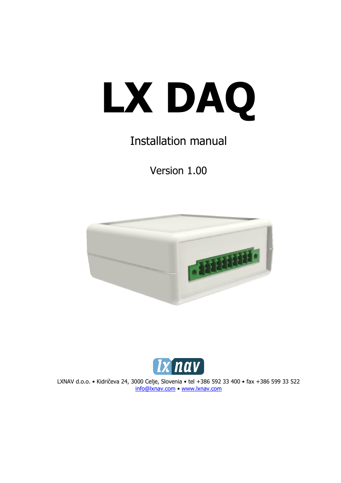

# Installation manual

Version 1.00





LXNAV d.o.o. • Kidričeva 24, 3000 Celje, Slovenia • tel +386 592 33 400 • fax +386 599 33 522 [info@lxnav.com](mailto:support@lxnavigation.si) • www.lxnav.com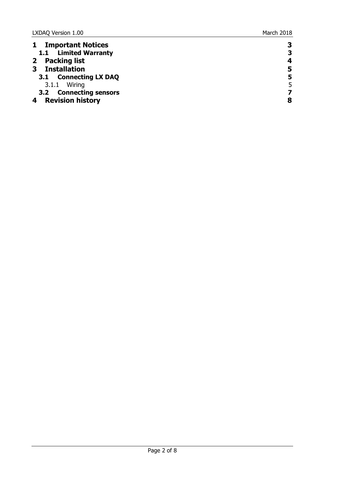| <b>Important Notices</b> | 3 |
|--------------------------|---|
| 1.1 Limited Warranty     | 3 |
| 2 Packing list           | 4 |
| <b>Installation</b>      | 5 |
| 3.1 Connecting LX DAQ    | 5 |
| 3.1.1 Wiring             | 5 |
| 3.2 Connecting sensors   |   |
| <b>Revision history</b>  | 8 |
|                          |   |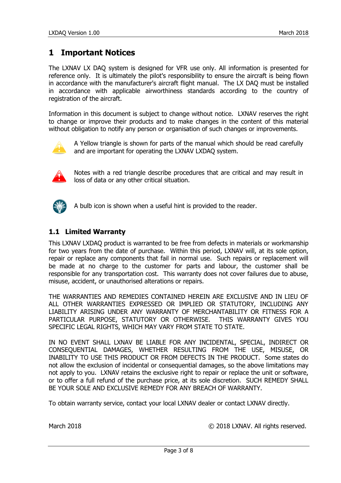### <span id="page-2-0"></span>**1 Important Notices**

The LXNAV LX DAQ system is designed for VFR use only. All information is presented for reference only. It is ultimately the pilot's responsibility to ensure the aircraft is being flown in accordance with the manufacturer's aircraft flight manual. The LX DAQ must be installed in accordance with applicable airworthiness standards according to the country of registration of the aircraft.

Information in this document is subject to change without notice. LXNAV reserves the right to change or improve their products and to make changes in the content of this material without obligation to notify any person or organisation of such changes or improvements.



A Yellow triangle is shown for parts of the manual which should be read carefully and are important for operating the LXNAV LXDAQ system.



Notes with a red triangle describe procedures that are critical and may result in loss of data or any other critical situation.



A bulb icon is shown when a useful hint is provided to the reader.

#### <span id="page-2-1"></span>**1.1 Limited Warranty**

This LXNAV LXDAQ product is warranted to be free from defects in materials or workmanship for two years from the date of purchase. Within this period, LXNAV will, at its sole option, repair or replace any components that fail in normal use. Such repairs or replacement will be made at no charge to the customer for parts and labour, the customer shall be responsible for any transportation cost. This warranty does not cover failures due to abuse, misuse, accident, or unauthorised alterations or repairs.

THE WARRANTIES AND REMEDIES CONTAINED HEREIN ARE EXCLUSIVE AND IN LIEU OF ALL OTHER WARRANTIES EXPRESSED OR IMPLIED OR STATUTORY, INCLUDING ANY LIABILITY ARISING UNDER ANY WARRANTY OF MERCHANTABILITY OR FITNESS FOR A PARTICULAR PURPOSE, STATUTORY OR OTHERWISE. THIS WARRANTY GIVES YOU SPECIFIC LEGAL RIGHTS, WHICH MAY VARY FROM STATE TO STATE.

IN NO EVENT SHALL LXNAV BE LIABLE FOR ANY INCIDENTAL, SPECIAL, INDIRECT OR CONSEQUENTIAL DAMAGES, WHETHER RESULTING FROM THE USE, MISUSE, OR INABILITY TO USE THIS PRODUCT OR FROM DEFECTS IN THE PRODUCT. Some states do not allow the exclusion of incidental or consequential damages, so the above limitations may not apply to you. LXNAV retains the exclusive right to repair or replace the unit or software, or to offer a full refund of the purchase price, at its sole discretion. SUCH REMEDY SHALL BE YOUR SOLE AND EXCLUSIVE REMEDY FOR ANY BREACH OF WARRANTY.

To obtain warranty service, contact your local LXNAV dealer or contact LXNAV directly.

March 2018 **March 2018 March 2018 March 2018 March 2018 March 2018 March 2018 March** 2018 **March** 2018 **March** 2018 **March** 2018 **March** 2018 **March** 2018 **March** 2018 **March** 2018 **March** 2018 **March** 2018 **Ma**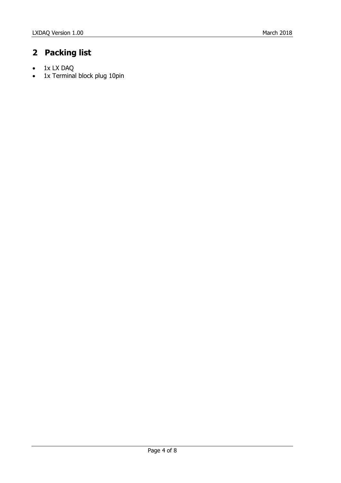## <span id="page-3-0"></span>**2 Packing list**

- 1x LX DAQ
- 1x Terminal block plug 10pin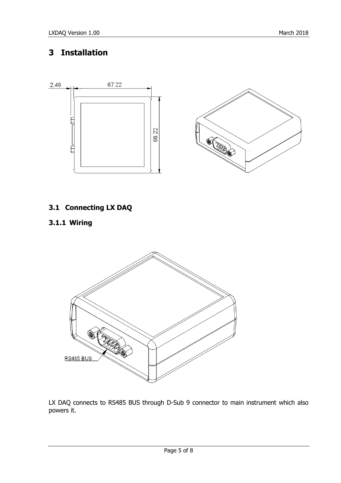### <span id="page-4-0"></span>**3 Installation**



### <span id="page-4-1"></span>**3.1 Connecting LX DAQ**

#### <span id="page-4-2"></span>**3.1.1 Wiring**



LX DAQ connects to RS485 BUS through D-Sub 9 connector to main instrument which also powers it.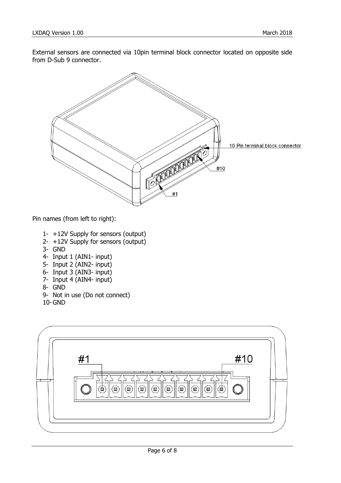External sensors are connected via 10pin terminal block connector located on opposite side from D-Sub 9 connector.

![](_page_5_Picture_3.jpeg)

Pin names (from left to right):

- 1- +12V Supply for sensors (output)
- 2- +12V Supply for sensors (output)
- 3- GND
- 4- Input 1 (AIN1- input)
- 5- Input 2 (AIN2- input)
- 6- Input 3 (AIN3- input)
- 7- Input 4 (AIN4- input)
- 8- GND
- 9- Not in use (Do not connect)
- 10-GND

![](_page_5_Figure_15.jpeg)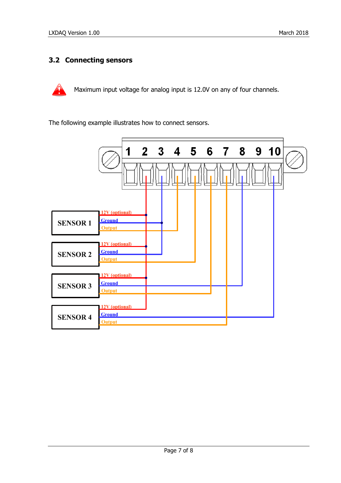#### <span id="page-6-0"></span>**3.2 Connecting sensors**

![](_page_6_Picture_3.jpeg)

Maximum input voltage for analog input is 12.0V on any of four channels.

The following example illustrates how to connect sensors.

![](_page_6_Figure_6.jpeg)